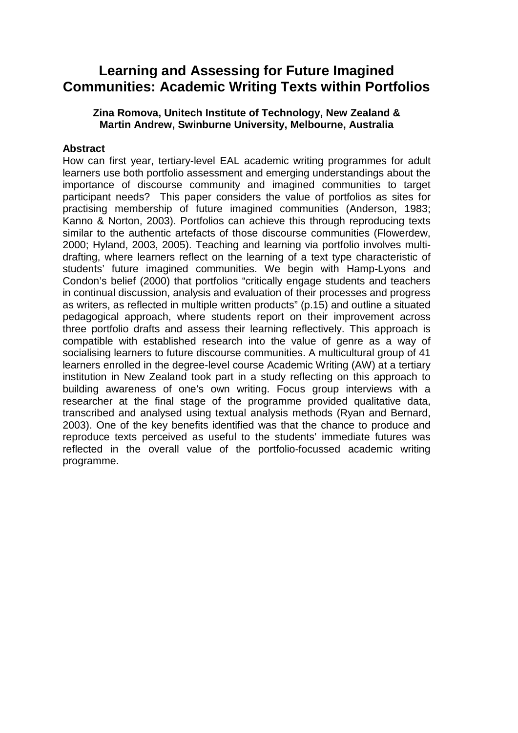# **Learning and Assessing for Future Imagined Communities: Academic Writing Texts within Portfolios**

#### **Zina Romova, Unitech Institute of Technology, New Zealand & Martin Andrew, Swinburne University, Melbourne, Australia**

#### **Abstract**

How can first year, tertiary-level EAL academic writing programmes for adult learners use both portfolio assessment and emerging understandings about the importance of discourse community and imagined communities to target participant needs? This paper considers the value of portfolios as sites for practising membership of future imagined communities (Anderson, 1983; Kanno & Norton, 2003). Portfolios can achieve this through reproducing texts similar to the authentic artefacts of those discourse communities (Flowerdew, 2000; Hyland, 2003, 2005). Teaching and learning via portfolio involves multidrafting, where learners reflect on the learning of a text type characteristic of students' future imagined communities. We begin with Hamp-Lyons and Condon's belief (2000) that portfolios "critically engage students and teachers in continual discussion, analysis and evaluation of their processes and progress as writers, as reflected in multiple written products" (p.15) and outline a situated pedagogical approach, where students report on their improvement across three portfolio drafts and assess their learning reflectively. This approach is compatible with established research into the value of genre as a way of socialising learners to future discourse communities. A multicultural group of 41 learners enrolled in the degree-level course Academic Writing (AW) at a tertiary institution in New Zealand took part in a study reflecting on this approach to building awareness of one's own writing. Focus group interviews with a researcher at the final stage of the programme provided qualitative data, transcribed and analysed using textual analysis methods (Ryan and Bernard, 2003). One of the key benefits identified was that the chance to produce and reproduce texts perceived as useful to the students' immediate futures was reflected in the overall value of the portfolio-focussed academic writing programme.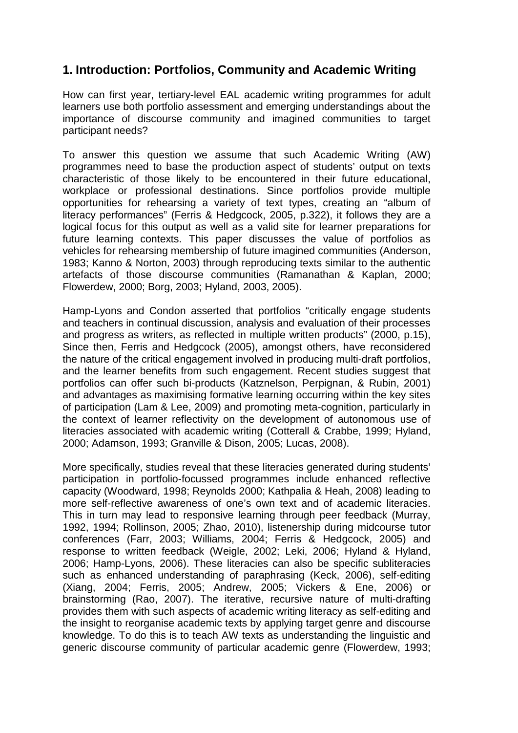## **1. Introduction: Portfolios, Community and Academic Writing**

How can first year, tertiary-level EAL academic writing programmes for adult learners use both portfolio assessment and emerging understandings about the importance of discourse community and imagined communities to target participant needs?

To answer this question we assume that such Academic Writing (AW) programmes need to base the production aspect of students' output on texts characteristic of those likely to be encountered in their future educational, workplace or professional destinations. Since portfolios provide multiple opportunities for rehearsing a variety of text types, creating an "album of literacy performances" (Ferris & Hedgcock, 2005, p.322), it follows they are a logical focus for this output as well as a valid site for learner preparations for future learning contexts. This paper discusses the value of portfolios as vehicles for rehearsing membership of future imagined communities (Anderson, 1983; Kanno & Norton, 2003) through reproducing texts similar to the authentic artefacts of those discourse communities (Ramanathan & Kaplan, 2000; Flowerdew, 2000; Borg, 2003; Hyland, 2003, 2005).

Hamp-Lyons and Condon asserted that portfolios "critically engage students and teachers in continual discussion, analysis and evaluation of their processes and progress as writers, as reflected in multiple written products" (2000, p.15), Since then, Ferris and Hedgcock (2005), amongst others, have reconsidered the nature of the critical engagement involved in producing multi-draft portfolios, and the learner benefits from such engagement. Recent studies suggest that portfolios can offer such bi-products (Katznelson, Perpignan, & Rubin, 2001) and advantages as maximising formative learning occurring within the key sites of participation (Lam & Lee, 2009) and promoting meta-cognition, particularly in the context of learner reflectivity on the development of autonomous use of literacies associated with academic writing (Cotterall & Crabbe, 1999; Hyland, 2000; Adamson, 1993; Granville & Dison, 2005; Lucas, 2008).

More specifically, studies reveal that these literacies generated during students' participation in portfolio-focussed programmes include enhanced reflective capacity (Woodward, 1998; Reynolds 2000; Kathpalia & Heah, 2008) leading to more self-reflective awareness of one's own text and of academic literacies. This in turn may lead to responsive learning through peer feedback (Murray, 1992, 1994; Rollinson, 2005; Zhao, 2010), listenership during midcourse tutor conferences (Farr, 2003; Williams, 2004; Ferris & Hedgcock, 2005) and response to written feedback (Weigle, 2002; Leki, 2006; Hyland & Hyland, 2006; Hamp-Lyons, 2006). These literacies can also be specific subliteracies such as enhanced understanding of paraphrasing (Keck, 2006), self-editing (Xiang, 2004; Ferris, 2005; Andrew, 2005; Vickers & Ene, 2006) or brainstorming (Rao, 2007). The iterative, recursive nature of multi-drafting provides them with such aspects of academic writing literacy as self-editing and the insight to reorganise academic texts by applying target genre and discourse knowledge. To do this is to teach AW texts as understanding the linguistic and generic discourse community of particular academic genre (Flowerdew, 1993;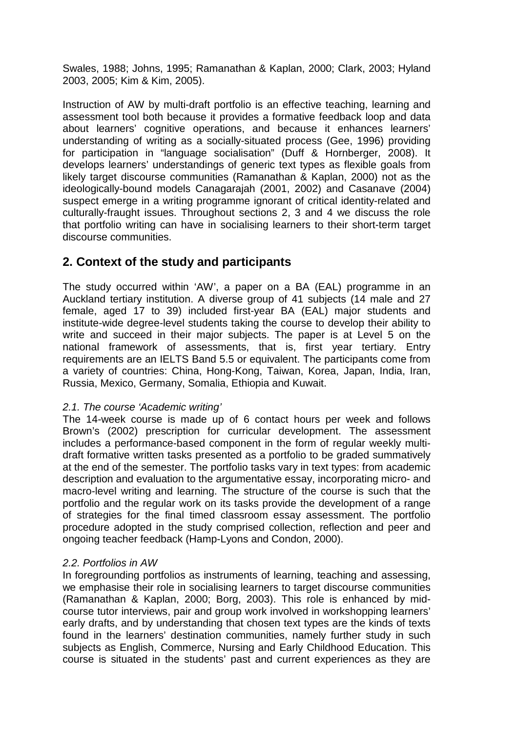Swales, 1988; Johns, 1995; Ramanathan & Kaplan, 2000; Clark, 2003; Hyland 2003, 2005; Kim & Kim, 2005).

Instruction of AW by multi-draft portfolio is an effective teaching, learning and assessment tool both because it provides a formative feedback loop and data about learners' cognitive operations, and because it enhances learners' understanding of writing as a socially-situated process (Gee, 1996) providing for participation in "language socialisation" (Duff & Hornberger, 2008). It develops learners' understandings of generic text types as flexible goals from likely target discourse communities (Ramanathan & Kaplan, 2000) not as the ideologically-bound models Canagarajah (2001, 2002) and Casanave (2004) suspect emerge in a writing programme ignorant of critical identity-related and culturally-fraught issues. Throughout sections 2, 3 and 4 we discuss the role that portfolio writing can have in socialising learners to their short-term target discourse communities.

### **2. Context of the study and participants**

The study occurred within 'AW', a paper on a BA (EAL) programme in an Auckland tertiary institution. A diverse group of 41 subjects (14 male and 27 female, aged 17 to 39) included first-year BA (EAL) major students and institute-wide degree-level students taking the course to develop their ability to write and succeed in their major subjects. The paper is at Level 5 on the national framework of assessments, that is, first year tertiary. Entry requirements are an IELTS Band 5.5 or equivalent. The participants come from a variety of countries: China, Hong-Kong, Taiwan, Korea, Japan, India, Iran, Russia, Mexico, Germany, Somalia, Ethiopia and Kuwait.

#### *2.1. The course 'Academic writing'*

The 14-week course is made up of 6 contact hours per week and follows Brown's (2002) prescription for curricular development. The assessment includes a performance-based component in the form of regular weekly multidraft formative written tasks presented as a portfolio to be graded summatively at the end of the semester. The portfolio tasks vary in text types: from academic description and evaluation to the argumentative essay, incorporating micro- and macro-level writing and learning. The structure of the course is such that the portfolio and the regular work on its tasks provide the development of a range of strategies for the final timed classroom essay assessment. The portfolio procedure adopted in the study comprised collection, reflection and peer and ongoing teacher feedback (Hamp-Lyons and Condon, 2000).

#### *2.2. Portfolios in AW*

In foregrounding portfolios as instruments of learning, teaching and assessing, we emphasise their role in socialising learners to target discourse communities (Ramanathan & Kaplan, 2000; Borg, 2003). This role is enhanced by midcourse tutor interviews, pair and group work involved in workshopping learners' early drafts, and by understanding that chosen text types are the kinds of texts found in the learners' destination communities, namely further study in such subjects as English, Commerce, Nursing and Early Childhood Education. This course is situated in the students' past and current experiences as they are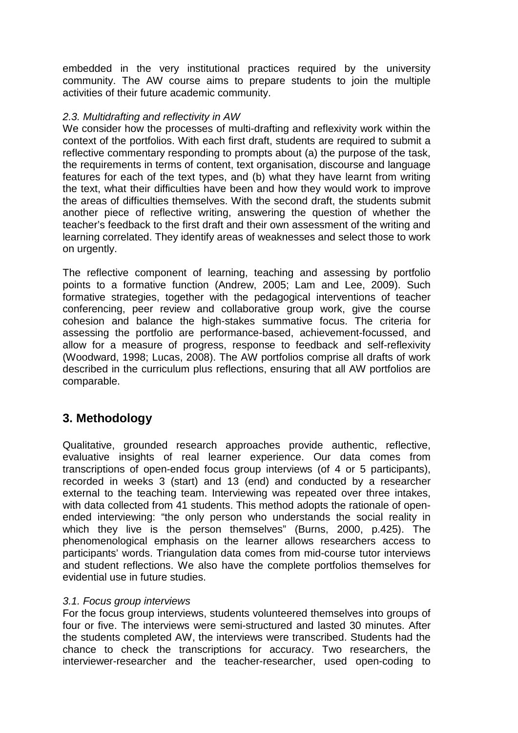embedded in the very institutional practices required by the university community. The AW course aims to prepare students to join the multiple activities of their future academic community.

#### *2.3. Multidrafting and reflectivity in AW*

We consider how the processes of multi-drafting and reflexivity work within the context of the portfolios. With each first draft, students are required to submit a reflective commentary responding to prompts about (a) the purpose of the task, the requirements in terms of content, text organisation, discourse and language features for each of the text types, and (b) what they have learnt from writing the text, what their difficulties have been and how they would work to improve the areas of difficulties themselves. With the second draft, the students submit another piece of reflective writing, answering the question of whether the teacher's feedback to the first draft and their own assessment of the writing and learning correlated. They identify areas of weaknesses and select those to work on urgently.

The reflective component of learning, teaching and assessing by portfolio points to a formative function (Andrew, 2005; Lam and Lee, 2009). Such formative strategies, together with the pedagogical interventions of teacher conferencing, peer review and collaborative group work, give the course cohesion and balance the high-stakes summative focus. The criteria for assessing the portfolio are performance-based, achievement-focussed, and allow for a measure of progress, response to feedback and self-reflexivity (Woodward, 1998; Lucas, 2008). The AW portfolios comprise all drafts of work described in the curriculum plus reflections, ensuring that all AW portfolios are comparable.

### **3. Methodology**

Qualitative, grounded research approaches provide authentic, reflective, evaluative insights of real learner experience. Our data comes from transcriptions of open-ended focus group interviews (of 4 or 5 participants), recorded in weeks 3 (start) and 13 (end) and conducted by a researcher external to the teaching team. Interviewing was repeated over three intakes, with data collected from 41 students. This method adopts the rationale of openended interviewing: "the only person who understands the social reality in which they live is the person themselves" (Burns, 2000, p.425). The phenomenological emphasis on the learner allows researchers access to participants' words. Triangulation data comes from mid-course tutor interviews and student reflections. We also have the complete portfolios themselves for evidential use in future studies.

#### *3.1. Focus group interviews*

For the focus group interviews, students volunteered themselves into groups of four or five. The interviews were semi-structured and lasted 30 minutes. After the students completed AW, the interviews were transcribed. Students had the chance to check the transcriptions for accuracy. Two researchers, the interviewer-researcher and the teacher-researcher, used open-coding to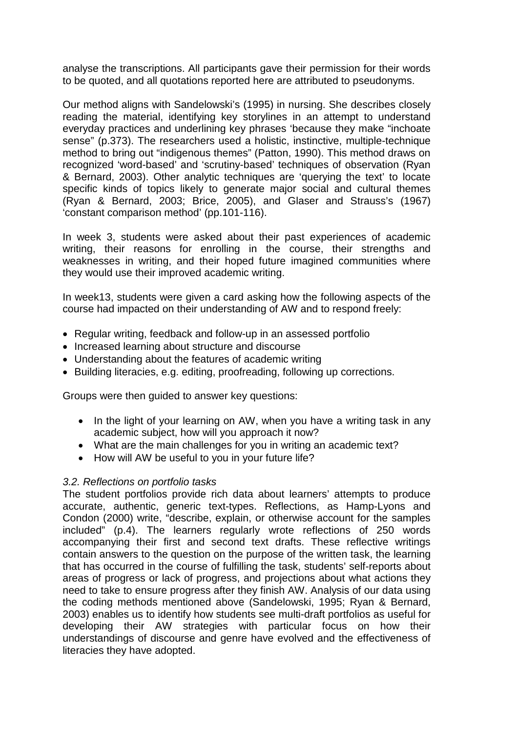analyse the transcriptions. All participants gave their permission for their words to be quoted, and all quotations reported here are attributed to pseudonyms.

Our method aligns with Sandelowski's (1995) in nursing. She describes closely reading the material, identifying key storylines in an attempt to understand everyday practices and underlining key phrases 'because they make "inchoate sense" (p.373). The researchers used a holistic, instinctive, multiple-technique method to bring out "indigenous themes" (Patton, 1990). This method draws on recognized 'word-based' and 'scrutiny-based' techniques of observation (Ryan & Bernard, 2003). Other analytic techniques are 'querying the text' to locate specific kinds of topics likely to generate major social and cultural themes (Ryan & Bernard, 2003; Brice, 2005), and Glaser and Strauss's (1967) 'constant comparison method' (pp.101-116).

In week 3, students were asked about their past experiences of academic writing, their reasons for enrolling in the course, their strengths and weaknesses in writing, and their hoped future imagined communities where they would use their improved academic writing.

In week13, students were given a card asking how the following aspects of the course had impacted on their understanding of AW and to respond freely:

- Regular writing, feedback and follow-up in an assessed portfolio
- Increased learning about structure and discourse
- Understanding about the features of academic writing
- Building literacies, e.g. editing, proofreading, following up corrections.

Groups were then guided to answer key questions:

- In the light of your learning on AW, when you have a writing task in any academic subject, how will you approach it now?
- What are the main challenges for you in writing an academic text?
- How will AW be useful to you in your future life?

#### *3.2. Reflections on portfolio tasks*

The student portfolios provide rich data about learners' attempts to produce accurate, authentic, generic text-types. Reflections, as Hamp-Lyons and Condon (2000) write, "describe, explain, or otherwise account for the samples included" (p.4). The learners regularly wrote reflections of 250 words accompanying their first and second text drafts. These reflective writings contain answers to the question on the purpose of the written task, the learning that has occurred in the course of fulfilling the task, students' self-reports about areas of progress or lack of progress, and projections about what actions they need to take to ensure progress after they finish AW. Analysis of our data using the coding methods mentioned above (Sandelowski, 1995; Ryan & Bernard, 2003) enables us to identify how students see multi-draft portfolios as useful for developing their AW strategies with particular focus on how their understandings of discourse and genre have evolved and the effectiveness of literacies they have adopted.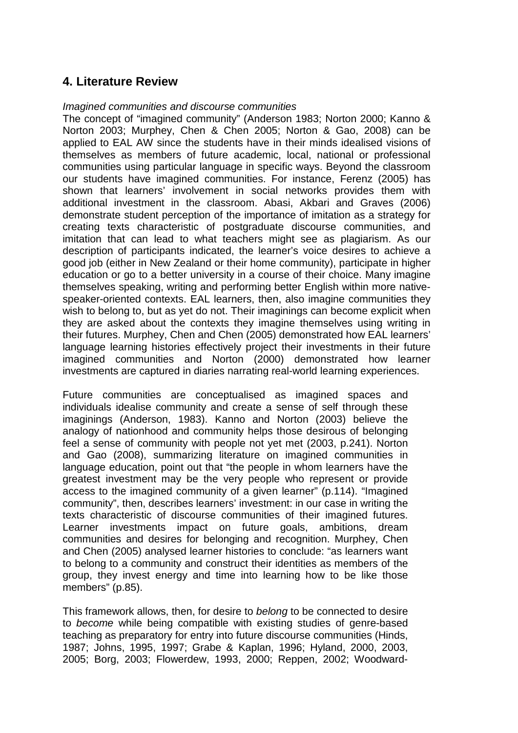### **4. Literature Review**

#### *Imagined communities and discourse communities*

The concept of "imagined community" (Anderson 1983; Norton 2000; Kanno & Norton 2003; Murphey, Chen & Chen 2005; Norton & Gao, 2008) can be applied to EAL AW since the students have in their minds idealised visions of themselves as members of future academic, local, national or professional communities using particular language in specific ways. Beyond the classroom our students have imagined communities. For instance, Ferenz (2005) has shown that learners' involvement in social networks provides them with additional investment in the classroom. Abasi, Akbari and Graves (2006) demonstrate student perception of the importance of imitation as a strategy for creating texts characteristic of postgraduate discourse communities, and imitation that can lead to what teachers might see as plagiarism. As our description of participants indicated, the learner's voice desires to achieve a good job (either in New Zealand or their home community), participate in higher education or go to a better university in a course of their choice. Many imagine themselves speaking, writing and performing better English within more nativespeaker-oriented contexts. EAL learners, then, also imagine communities they wish to belong to, but as yet do not. Their imaginings can become explicit when they are asked about the contexts they imagine themselves using writing in their futures. Murphey, Chen and Chen (2005) demonstrated how EAL learners' language learning histories effectively project their investments in their future imagined communities and Norton (2000) demonstrated how learner investments are captured in diaries narrating real-world learning experiences.

Future communities are conceptualised as imagined spaces and individuals idealise community and create a sense of self through these imaginings (Anderson, 1983). Kanno and Norton (2003) believe the analogy of nationhood and community helps those desirous of belonging feel a sense of community with people not yet met (2003, p.241). Norton and Gao (2008), summarizing literature on imagined communities in language education, point out that "the people in whom learners have the greatest investment may be the very people who represent or provide access to the imagined community of a given learner" (p.114). "Imagined community", then, describes learners' investment: in our case in writing the texts characteristic of discourse communities of their imagined futures. Learner investments impact on future goals, ambitions, dream communities and desires for belonging and recognition. Murphey, Chen and Chen (2005) analysed learner histories to conclude: "as learners want to belong to a community and construct their identities as members of the group, they invest energy and time into learning how to be like those members" (p.85).

This framework allows, then, for desire to *belong* to be connected to desire to *become* while being compatible with existing studies of genre-based teaching as preparatory for entry into future discourse communities (Hinds, 1987; Johns, 1995, 1997; Grabe & Kaplan, 1996; Hyland, 2000, 2003, 2005; Borg, 2003; Flowerdew, 1993, 2000; Reppen, 2002; Woodward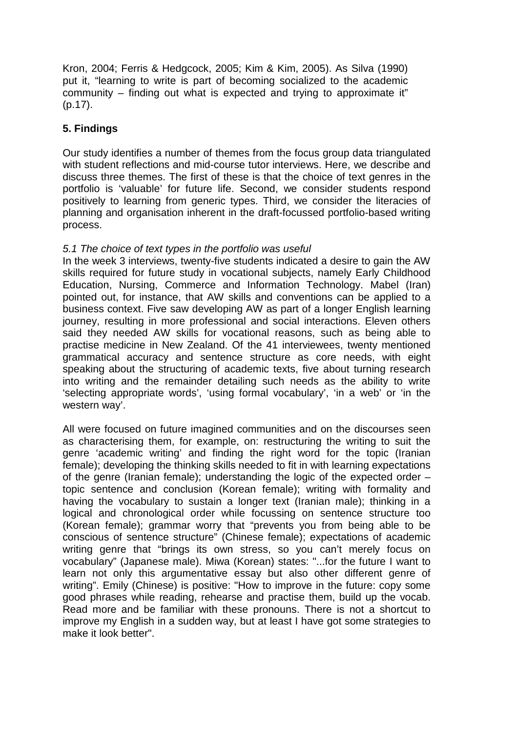Kron, 2004; Ferris & Hedgcock, 2005; Kim & Kim, 2005). As Silva (1990) put it, "learning to write is part of becoming socialized to the academic community – finding out what is expected and trying to approximate it" (p.17).

### **5. Findings**

Our study identifies a number of themes from the focus group data triangulated with student reflections and mid-course tutor interviews. Here, we describe and discuss three themes. The first of these is that the choice of text genres in the portfolio is 'valuable' for future life. Second, we consider students respond positively to learning from generic types. Third, we consider the literacies of planning and organisation inherent in the draft-focussed portfolio-based writing process.

#### *5.1 The choice of text types in the portfolio was useful*

In the week 3 interviews, twenty-five students indicated a desire to gain the AW skills required for future study in vocational subjects, namely Early Childhood Education, Nursing, Commerce and Information Technology. Mabel (Iran) pointed out, for instance, that AW skills and conventions can be applied to a business context. Five saw developing AW as part of a longer English learning journey, resulting in more professional and social interactions. Eleven others said they needed AW skills for vocational reasons, such as being able to practise medicine in New Zealand. Of the 41 interviewees, twenty mentioned grammatical accuracy and sentence structure as core needs, with eight speaking about the structuring of academic texts, five about turning research into writing and the remainder detailing such needs as the ability to write 'selecting appropriate words', 'using formal vocabulary', 'in a web' or 'in the western way'.

All were focused on future imagined communities and on the discourses seen as characterising them, for example, on: restructuring the writing to suit the genre 'academic writing' and finding the right word for the topic (Iranian female); developing the thinking skills needed to fit in with learning expectations of the genre (Iranian female); understanding the logic of the expected order – topic sentence and conclusion (Korean female); writing with formality and having the vocabulary to sustain a longer text (Iranian male); thinking in a logical and chronological order while focussing on sentence structure too (Korean female); grammar worry that "prevents you from being able to be conscious of sentence structure" (Chinese female); expectations of academic writing genre that "brings its own stress, so you can't merely focus on vocabulary" (Japanese male). Miwa (Korean) states: "...for the future I want to learn not only this argumentative essay but also other different genre of writing". Emily (Chinese) is positive: "How to improve in the future: copy some good phrases while reading, rehearse and practise them, build up the vocab. Read more and be familiar with these pronouns. There is not a shortcut to improve my English in a sudden way, but at least I have got some strategies to make it look better".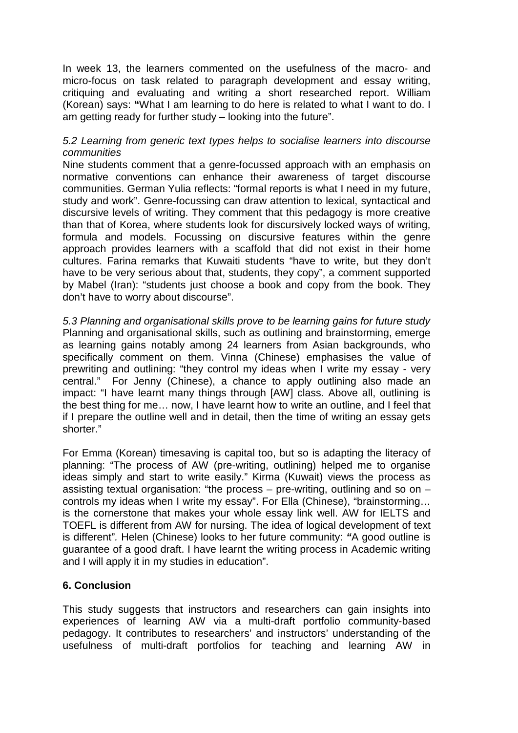In week 13, the learners commented on the usefulness of the macro- and micro-focus on task related to paragraph development and essay writing, critiquing and evaluating and writing a short researched report. William (Korean) says: **"**What I am learning to do here is related to what I want to do. I am getting ready for further study – looking into the future".

#### *5.2 Learning from generic text types helps to socialise learners into discourse communities*

Nine students comment that a genre-focussed approach with an emphasis on normative conventions can enhance their awareness of target discourse communities. German Yulia reflects: "formal reports is what I need in my future, study and work". Genre-focussing can draw attention to lexical, syntactical and discursive levels of writing. They comment that this pedagogy is more creative than that of Korea, where students look for discursively locked ways of writing, formula and models. Focussing on discursive features within the genre approach provides learners with a scaffold that did not exist in their home cultures. Farina remarks that Kuwaiti students "have to write, but they don't have to be very serious about that, students, they copy", a comment supported by Mabel (Iran): "students just choose a book and copy from the book. They don't have to worry about discourse".

*5.3 Planning and organisational skills prove to be learning gains for future study* Planning and organisational skills, such as outlining and brainstorming, emerge as learning gains notably among 24 learners from Asian backgrounds, who specifically comment on them. Vinna (Chinese) emphasises the value of prewriting and outlining: "they control my ideas when I write my essay - very central." For Jenny (Chinese), a chance to apply outlining also made an impact: "I have learnt many things through [AW] class. Above all, outlining is the best thing for me… now, I have learnt how to write an outline, and I feel that if I prepare the outline well and in detail, then the time of writing an essay gets shorter."

For Emma (Korean) timesaving is capital too, but so is adapting the literacy of planning: "The process of AW (pre-writing, outlining) helped me to organise ideas simply and start to write easily." Kirma (Kuwait) views the process as assisting textual organisation: "the process – pre-writing, outlining and so on – controls my ideas when I write my essay". For Ella (Chinese), "brainstorming… is the cornerstone that makes your whole essay link well. AW for IELTS and TOEFL is different from AW for nursing. The idea of logical development of text is different"*.* Helen (Chinese) looks to her future community: *"*A good outline is guarantee of a good draft. I have learnt the writing process in Academic writing and I will apply it in my studies in education".

#### **6. Conclusion**

This study suggests that instructors and researchers can gain insights into experiences of learning AW via a multi-draft portfolio community-based pedagogy. It contributes to researchers' and instructors' understanding of the usefulness of multi-draft portfolios for teaching and learning AW in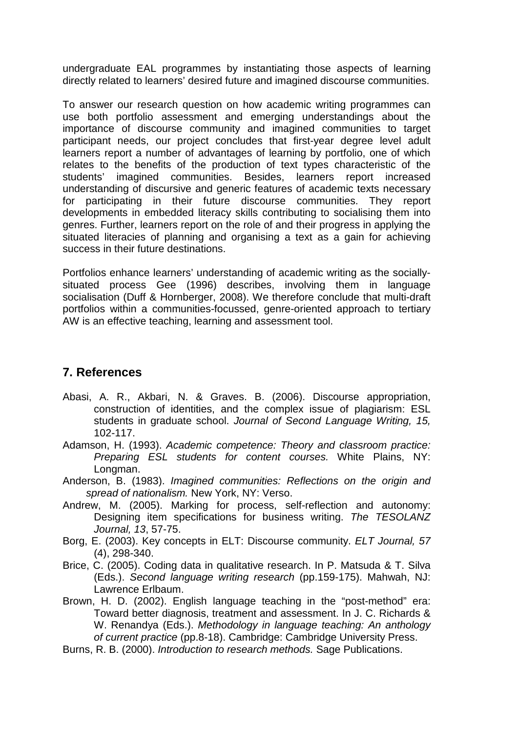undergraduate EAL programmes by instantiating those aspects of learning directly related to learners' desired future and imagined discourse communities.

To answer our research question on how academic writing programmes can use both portfolio assessment and emerging understandings about the importance of discourse community and imagined communities to target participant needs, our project concludes that first-year degree level adult learners report a number of advantages of learning by portfolio, one of which relates to the benefits of the production of text types characteristic of the students' imagined communities. Besides, learners report increased students' imagined communities. Besides, understanding of discursive and generic features of academic texts necessary for participating in their future discourse communities. They report developments in embedded literacy skills contributing to socialising them into genres. Further, learners report on the role of and their progress in applying the situated literacies of planning and organising a text as a gain for achieving success in their future destinations.

Portfolios enhance learners' understanding of academic writing as the sociallysituated process Gee (1996) describes, involving them in language socialisation (Duff & Hornberger, 2008). We therefore conclude that multi-draft portfolios within a communities-focussed, genre-oriented approach to tertiary AW is an effective teaching, learning and assessment tool.

### **7. References**

- Abasi, A. R., Akbari, N. & Graves. B. (2006). Discourse appropriation, construction of identities, and the complex issue of plagiarism: ESL students in graduate school. *Journal of Second Language Writing, 15,* 102-117.
- Adamson, H. (1993). *Academic competence: Theory and classroom practice: Preparing ESL students for content courses.* White Plains, NY: Longman.
- Anderson, B. (1983). *Imagined communities: Reflections on the origin and spread of nationalism.* New York, NY: Verso.
- Andrew, M. (2005). Marking for process, self-reflection and autonomy: Designing item specifications for business writing. *The TESOLANZ Journal, 13*, 57-75.
- Borg, E. (2003). Key concepts in ELT: Discourse community. *ELT Journal, 57*  (4), 298-340.
- Brice, C. (2005). Coding data in qualitative research. In P. Matsuda & T. Silva (Eds.). *Second language writing research* (pp.159-175). Mahwah, NJ: Lawrence Erlbaum.
- Brown, H. D. (2002). English language teaching in the "post-method" era: Toward better diagnosis, treatment and assessment. In J. C. Richards & W. Renandya (Eds.). *Methodology in language teaching: An anthology of current practice* (pp.8-18). Cambridge: Cambridge University Press.
- Burns, R. B. (2000). *Introduction to research methods.* Sage Publications.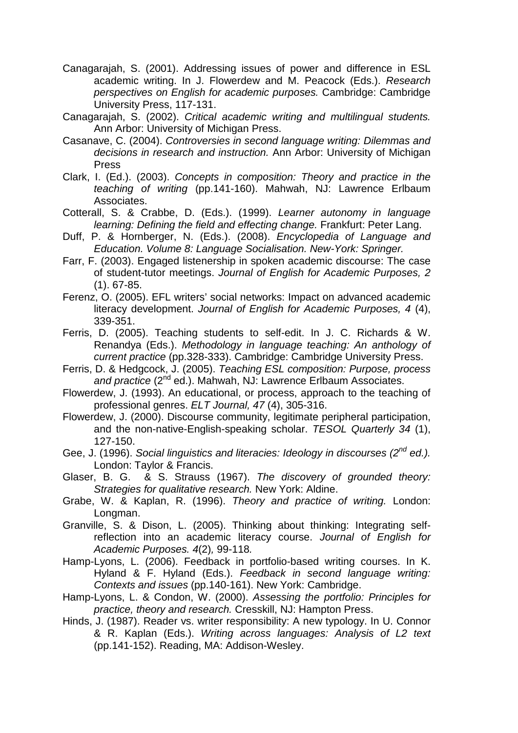- Canagarajah, S. (2001). Addressing issues of power and difference in ESL academic writing. In J. Flowerdew and M. Peacock (Eds.). *Research perspectives on English for academic purposes.* Cambridge: Cambridge University Press, 117-131.
- Canagarajah, S. (2002). *Critical academic writing and multilingual students.* Ann Arbor: University of Michigan Press.
- Casanave, C. (2004). *Controversies in second language writing: Dilemmas and decisions in research and instruction.* Ann Arbor: University of Michigan Press
- Clark, I. (Ed.). (2003). *Concepts in composition: Theory and practice in the teaching of writing* (pp.141-160). Mahwah, NJ: Lawrence Erlbaum Associates.
- Cotterall, S. & Crabbe, D. (Eds.). (1999). *Learner autonomy in language learning: Defining the field and effecting change.* Frankfurt: Peter Lang.
- Duff, P. & Hornberger, N. (Eds.). (2008). *Encyclopedia of Language and Education. Volume 8: Language Socialisation. New-York: Springer.*
- Farr, F. (2003). Engaged listenership in spoken academic discourse: The case of student-tutor meetings. *Journal of English for Academic Purposes, 2*  (1). 67-85.
- Ferenz, O. (2005). EFL writers' social networks: Impact on advanced academic literacy development. *Journal of English for Academic Purposes, 4* (4), 339-351.
- Ferris, D. (2005). Teaching students to self-edit. In J. C. Richards & W. Renandya (Eds.). *Methodology in language teaching: An anthology of current practice* (pp.328-333). Cambridge: Cambridge University Press.
- Ferris, D. & Hedgcock, J. (2005). *Teaching ESL composition: Purpose, process*  and practice (2<sup>nd</sup> ed.). Mahwah, NJ: Lawrence Erlbaum Associates.
- Flowerdew, J. (1993). An educational, or process, approach to the teaching of professional genres. *ELT Journal, 47* (4), 305-316.
- Flowerdew, J. (2000). Discourse community, legitimate peripheral participation, and the non-native-English-speaking scholar. *TESOL Quarterly 34* (1), 127-150.
- Gee, J. (1996). *Social linguistics and literacies: Ideology in discourses (2nd ed.).* London: Taylor & Francis.
- Glaser, B. G. & S. Strauss (1967). *The discovery of grounded theory: Strategies for qualitative research.* New York: Aldine.
- Grabe, W. & Kaplan, R. (1996). *Theory and practice of writing.* London: Longman.
- Granville, S. & Dison, L. (2005). Thinking about thinking: Integrating selfreflection into an academic literacy course. *Journal of English for Academic Purposes. 4*(2)*,* 99-118*.*
- Hamp-Lyons, L. (2006). Feedback in portfolio-based writing courses. In K. Hyland & F. Hyland (Eds.). *Feedback in second language writing: Contexts and issues* (pp.140-161). New York: Cambridge.
- Hamp-Lyons, L. & Condon, W. (2000). *Assessing the portfolio: Principles for practice, theory and research.* Cresskill, NJ: Hampton Press.
- Hinds, J. (1987). Reader vs. writer responsibility: A new typology. In U. Connor & R. Kaplan (Eds.). *Writing across languages: Analysis of L2 text*  (pp.141-152). Reading, MA: Addison-Wesley.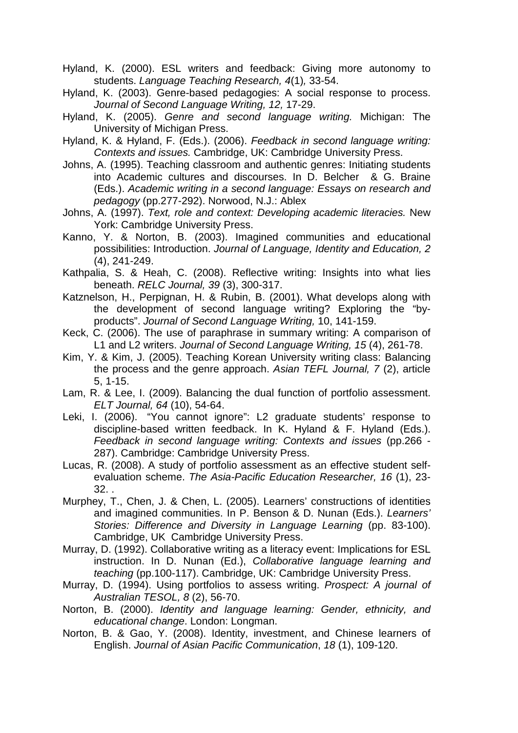Hyland, K. (2000). ESL writers and feedback: Giving more autonomy to students. *Language Teaching Research, 4*(1)*,* 33-54.

Hyland, K. (2003). Genre-based pedagogies: A social response to process. *Journal of Second Language Writing, 12,* 17-29.

Hyland, K. (2005). *Genre and second language writing.* Michigan: The University of Michigan Press.

Hyland, K. & Hyland, F. (Eds.). (2006). *Feedback in second language writing: Contexts and issues.* Cambridge, UK: Cambridge University Press.

- Johns, A. (1995). Teaching classroom and authentic genres: Initiating students into Academic cultures and discourses. In D. Belcher & G. Braine (Eds.). *Academic writing in a second language: Essays on research and pedagogy* (pp.277-292). Norwood, N.J.: Ablex
- Johns, A. (1997). *Text, role and context: Developing academic literacies.* New York: Cambridge University Press.
- Kanno, Y. & Norton, B. (2003). Imagined communities and educational possibilities: Introduction. *Journal of Language, Identity and Education, 2*  (4), 241-249.
- Kathpalia, S. & Heah, C. (2008). Reflective writing: Insights into what lies beneath. *RELC Journal, 39* (3), 300-317.
- Katznelson, H., Perpignan, H. & Rubin, B. (2001). What develops along with the development of second language writing? Exploring the "byproducts". *Journal of Second Language Writing,* 10, 141-159.
- Keck, C. (2006). The use of paraphrase in summary writing: A comparison of L1 and L2 writers. *Journal of Second Language Writing, 15* (4), 261-78.
- Kim, Y. & Kim, J. (2005). Teaching Korean University writing class: Balancing the process and the genre approach. *Asian TEFL Journal, 7* (2), article 5, 1-15.
- Lam, R. & Lee, I. (2009). Balancing the dual function of portfolio assessment. *ELT Journal, 64* (10), 54-64.
- Leki, I. (2006). "You cannot ignore": L2 graduate students' response to discipline-based written feedback. In K. Hyland & F. Hyland (Eds.). *Feedback in second language writing: Contexts and issues* (pp.266 - 287). Cambridge: Cambridge University Press.
- Lucas, R. (2008). A study of portfolio assessment as an effective student selfevaluation scheme. *The Asia-Pacific Education Researcher, 16* (1), 23- 32. .
- Murphey, T., Chen, J. & Chen, L. (2005). Learners' constructions of identities and imagined communities. In P. Benson & D. Nunan (Eds.). *Learners' Stories: Difference and Diversity in Language Learning (pp. 83-100).* Cambridge, UK Cambridge University Press.
- Murray, D. (1992). Collaborative writing as a literacy event: Implications for ESL instruction. In D. Nunan (Ed.), *Collaborative language learning and teaching* (pp.100-117). Cambridge, UK: Cambridge University Press.
- Murray, D. (1994). Using portfolios to assess writing. *Prospect: A journal of Australian TESOL, 8* (2), 56-70.
- Norton, B. (2000). *Identity and language learning: Gender, ethnicity, and educational change*. London: Longman.
- Norton, B. & Gao, Y. (2008). Identity, investment, and Chinese learners of English. *Journal of Asian Pacific Communication*, *18* (1), 109-120.